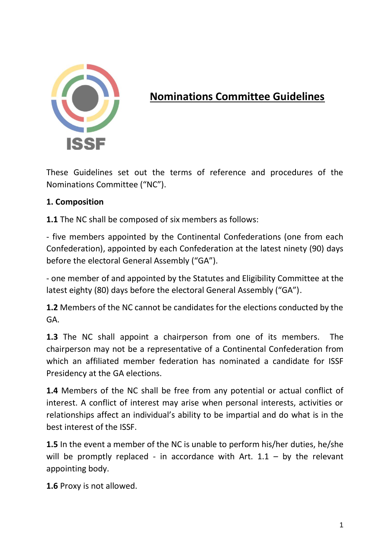

# **Nominations Committee Guidelines**

These Guidelines set out the terms of reference and procedures of the Nominations Committee ("NC").

### **1. Composition**

**1.1** The NC shall be composed of six members as follows:

- five members appointed by the Continental Confederations (one from each Confederation), appointed by each Confederation at the latest ninety (90) days before the electoral General Assembly ("GA").

- one member of and appointed by the Statutes and Eligibility Committee at the latest eighty (80) days before the electoral General Assembly ("GA").

**1.2** Members of the NC cannot be candidates for the elections conducted by the GA.

**1.3** The NC shall appoint a chairperson from one of its members. The chairperson may not be a representative of a Continental Confederation from which an affiliated member federation has nominated a candidate for ISSF Presidency at the GA elections.

**1.4** Members of the NC shall be free from any potential or actual conflict of interest. A conflict of interest may arise when personal interests, activities or relationships affect an individual's ability to be impartial and do what is in the best interest of the ISSF.

**1.5** In the event a member of the NC is unable to perform his/her duties, he/she will be promptly replaced - in accordance with Art.  $1.1 -$  by the relevant appointing body.

**1.6** Proxy is not allowed.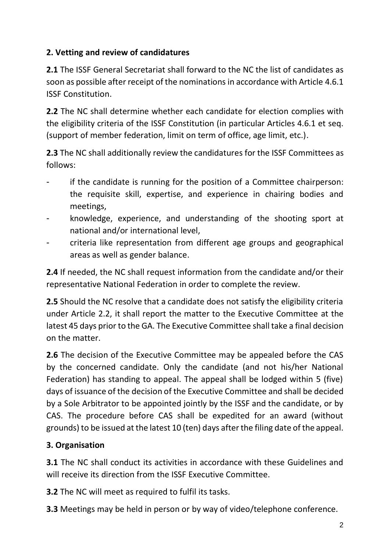### **2. Vetting and review of candidatures**

**2.1** The ISSF General Secretariat shall forward to the NC the list of candidates as soon as possible after receipt of the nominations in accordance with Article 4.6.1 ISSF Constitution.

**2.2** The NC shall determine whether each candidate for election complies with the eligibility criteria of the ISSF Constitution (in particular Articles 4.6.1 et seq. (support of member federation, limit on term of office, age limit, etc.).

**2.3** The NC shall additionally review the candidatures for the ISSF Committees as follows:

- if the candidate is running for the position of a Committee chairperson: the requisite skill, expertise, and experience in chairing bodies and meetings,
- knowledge, experience, and understanding of the shooting sport at national and/or international level,
- criteria like representation from different age groups and geographical areas as well as gender balance.

**2.4** If needed, the NC shall request information from the candidate and/or their representative National Federation in order to complete the review.

**2.5** Should the NC resolve that a candidate does not satisfy the eligibility criteria under Article 2.2, it shall report the matter to the Executive Committee at the latest 45 days prior to the GA. The Executive Committee shall take a final decision on the matter.

**2.6** The decision of the Executive Committee may be appealed before the CAS by the concerned candidate. Only the candidate (and not his/her National Federation) has standing to appeal. The appeal shall be lodged within 5 (five) days of issuance of the decision of the Executive Committee and shall be decided by a Sole Arbitrator to be appointed jointly by the ISSF and the candidate, or by CAS. The procedure before CAS shall be expedited for an award (without grounds) to be issued at the latest 10 (ten) days after the filing date of the appeal.

## **3. Organisation**

**3.1** The NC shall conduct its activities in accordance with these Guidelines and will receive its direction from the ISSF Executive Committee.

**3.2** The NC will meet as required to fulfil its tasks.

**3.3** Meetings may be held in person or by way of video/telephone conference.